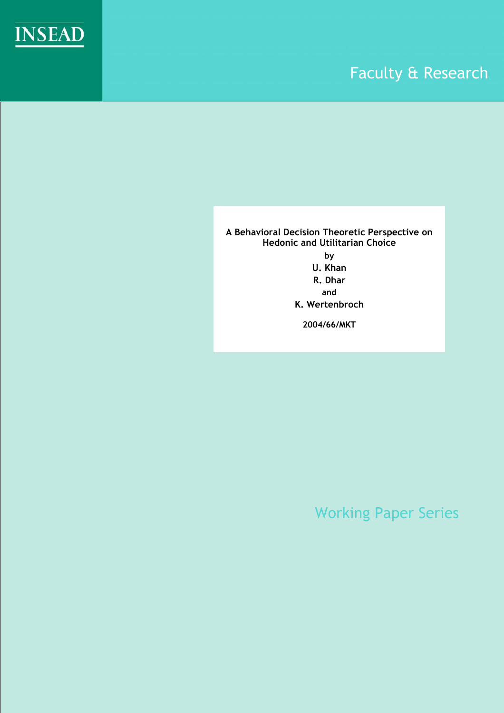

# Faculty & Research

**A Behavioral Decision Theoretic Perspective on Hedonic and Utilitarian Choice** 

- **by**
- **U. Khan R. Dhar**
- **and**
- **K. Wertenbroch**

**2004/66/MKT** 

Working Paper Series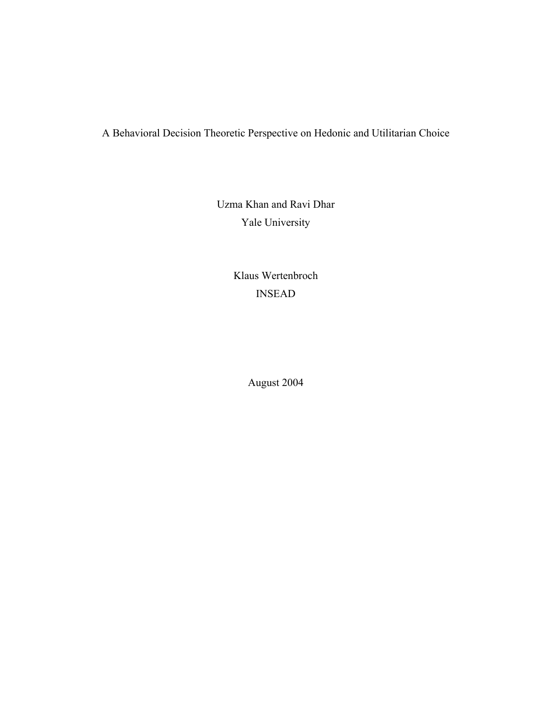A Behavioral Decision Theoretic Perspective on Hedonic and Utilitarian Choice

Uzma Khan and Ravi Dhar Yale University

> Klaus Wertenbroch INSEAD

> > August 2004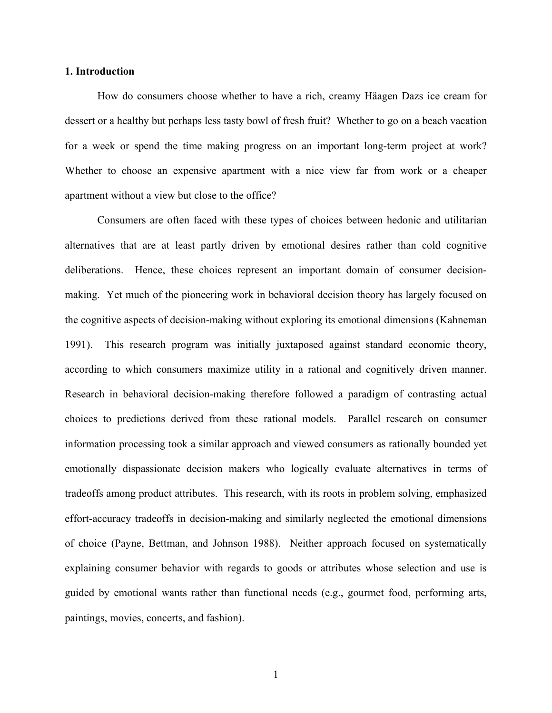#### **1. Introduction**

How do consumers choose whether to have a rich, creamy Häagen Dazs ice cream for dessert or a healthy but perhaps less tasty bowl of fresh fruit? Whether to go on a beach vacation for a week or spend the time making progress on an important long-term project at work? Whether to choose an expensive apartment with a nice view far from work or a cheaper apartment without a view but close to the office?

Consumers are often faced with these types of choices between hedonic and utilitarian alternatives that are at least partly driven by emotional desires rather than cold cognitive deliberations. Hence, these choices represent an important domain of consumer decisionmaking. Yet much of the pioneering work in behavioral decision theory has largely focused on the cognitive aspects of decision-making without exploring its emotional dimensions (Kahneman 1991). This research program was initially juxtaposed against standard economic theory, according to which consumers maximize utility in a rational and cognitively driven manner. Research in behavioral decision-making therefore followed a paradigm of contrasting actual choices to predictions derived from these rational models. Parallel research on consumer information processing took a similar approach and viewed consumers as rationally bounded yet emotionally dispassionate decision makers who logically evaluate alternatives in terms of tradeoffs among product attributes. This research, with its roots in problem solving, emphasized effort-accuracy tradeoffs in decision-making and similarly neglected the emotional dimensions of choice (Payne, Bettman, and Johnson 1988). Neither approach focused on systematically explaining consumer behavior with regards to goods or attributes whose selection and use is guided by emotional wants rather than functional needs (e.g., gourmet food, performing arts, paintings, movies, concerts, and fashion).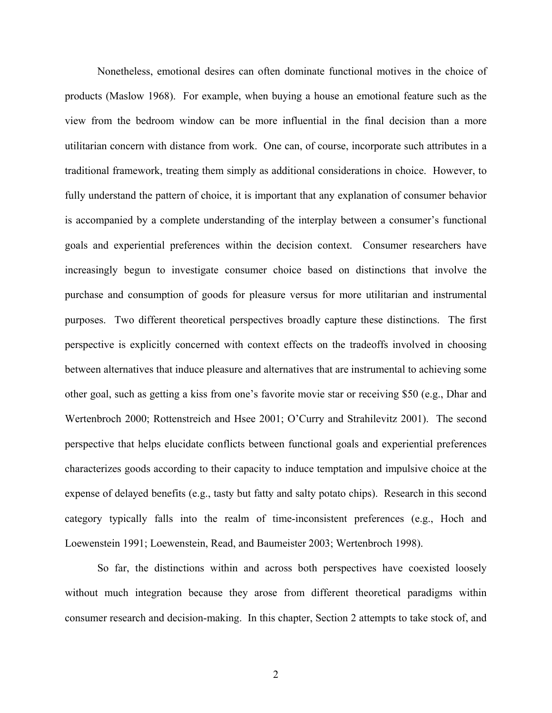Nonetheless, emotional desires can often dominate functional motives in the choice of products (Maslow 1968).For example, when buying a house an emotional feature such as the view from the bedroom window can be more influential in the final decision than a more utilitarian concern with distance from work. One can, of course, incorporate such attributes in a traditional framework, treating them simply as additional considerations in choice. However, to fully understand the pattern of choice, it is important that any explanation of consumer behavior is accompanied by a complete understanding of the interplay between a consumer's functional goals and experiential preferences within the decision context. Consumer researchers have increasingly begun to investigate consumer choice based on distinctions that involve the purchase and consumption of goods for pleasure versus for more utilitarian and instrumental purposes. Two different theoretical perspectives broadly capture these distinctions. The first perspective is explicitly concerned with context effects on the tradeoffs involved in choosing between alternatives that induce pleasure and alternatives that are instrumental to achieving some other goal, such as getting a kiss from one's favorite movie star or receiving \$50 (e.g., Dhar and Wertenbroch 2000; Rottenstreich and Hsee 2001; O'Curry and Strahilevitz 2001). The second perspective that helps elucidate conflicts between functional goals and experiential preferences characterizes goods according to their capacity to induce temptation and impulsive choice at the expense of delayed benefits (e.g., tasty but fatty and salty potato chips). Research in this second category typically falls into the realm of time-inconsistent preferences (e.g., Hoch and Loewenstein 1991; Loewenstein, Read, and Baumeister 2003; Wertenbroch 1998).

So far, the distinctions within and across both perspectives have coexisted loosely without much integration because they arose from different theoretical paradigms within consumer research and decision-making. In this chapter, Section 2 attempts to take stock of, and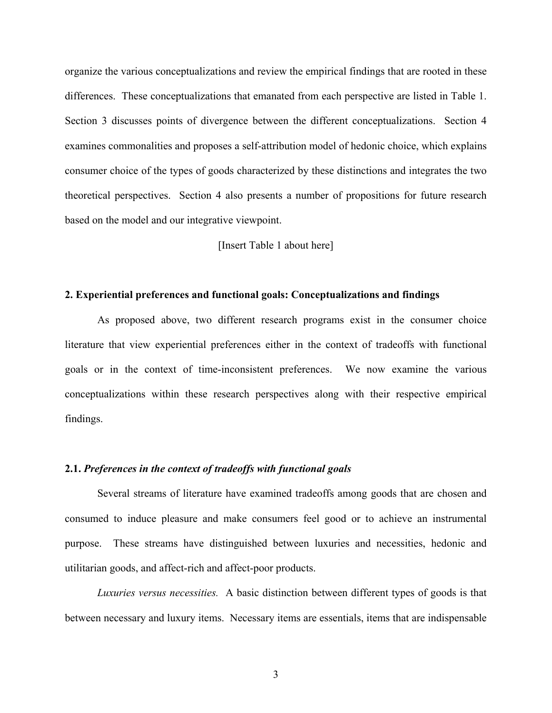organize the various conceptualizations and review the empirical findings that are rooted in these differences. These conceptualizations that emanated from each perspective are listed in Table 1. Section 3 discusses points of divergence between the different conceptualizations. Section 4 examines commonalities and proposes a self-attribution model of hedonic choice, which explains consumer choice of the types of goods characterized by these distinctions and integrates the two theoretical perspectives. Section 4 also presents a number of propositions for future research based on the model and our integrative viewpoint.

# [Insert Table 1 about here]

## **2. Experiential preferences and functional goals: Conceptualizations and findings**

As proposed above, two different research programs exist in the consumer choice literature that view experiential preferences either in the context of tradeoffs with functional goals or in the context of time-inconsistent preferences. We now examine the various conceptualizations within these research perspectives along with their respective empirical findings.

#### **2.1.** *Preferences in the context of tradeoffs with functional goals*

Several streams of literature have examined tradeoffs among goods that are chosen and consumed to induce pleasure and make consumers feel good or to achieve an instrumental purpose. These streams have distinguished between luxuries and necessities, hedonic and utilitarian goods, and affect-rich and affect-poor products.

*Luxuries versus necessities.* A basic distinction between different types of goods is that between necessary and luxury items. Necessary items are essentials, items that are indispensable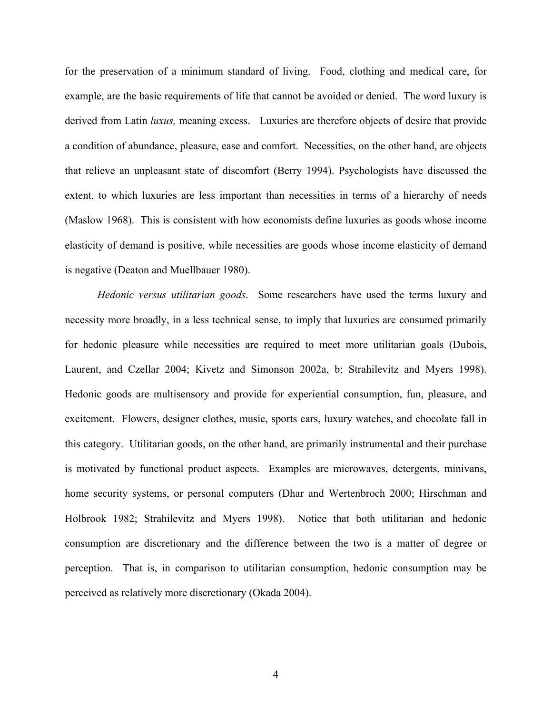for the preservation of a minimum standard of living. Food, clothing and medical care, for example, are the basic requirements of life that cannot be avoided or denied. The word luxury is derived from Latin *luxus,* meaning excess. Luxuries are therefore objects of desire that provide a condition of abundance, pleasure, ease and comfort. Necessities, on the other hand, are objects that relieve an unpleasant state of discomfort (Berry 1994). Psychologists have discussed the extent, to which luxuries are less important than necessities in terms of a hierarchy of needs (Maslow 1968). This is consistent with how economists define luxuries as goods whose income elasticity of demand is positive, while necessities are goods whose income elasticity of demand is negative (Deaton and Muellbauer 1980).

*Hedonic versus utilitarian goods*. Some researchers have used the terms luxury and necessity more broadly, in a less technical sense, to imply that luxuries are consumed primarily for hedonic pleasure while necessities are required to meet more utilitarian goals (Dubois, Laurent, and Czellar 2004; Kivetz and Simonson 2002a, b; Strahilevitz and Myers 1998). Hedonic goods are multisensory and provide for experiential consumption, fun, pleasure, and excitement. Flowers, designer clothes, music, sports cars, luxury watches, and chocolate fall in this category. Utilitarian goods, on the other hand, are primarily instrumental and their purchase is motivated by functional product aspects. Examples are microwaves, detergents, minivans, home security systems, or personal computers (Dhar and Wertenbroch 2000; Hirschman and Holbrook 1982; Strahilevitz and Myers 1998). Notice that both utilitarian and hedonic consumption are discretionary and the difference between the two is a matter of degree or perception. That is, in comparison to utilitarian consumption, hedonic consumption may be perceived as relatively more discretionary (Okada 2004).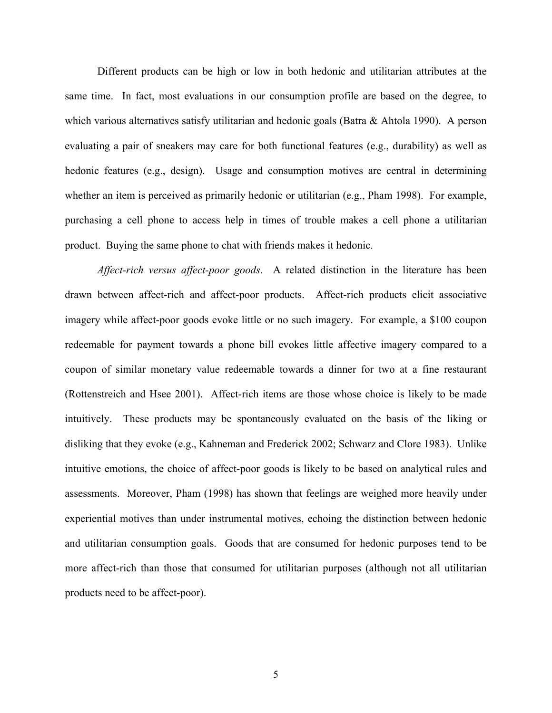Different products can be high or low in both hedonic and utilitarian attributes at the same time. In fact, most evaluations in our consumption profile are based on the degree, to which various alternatives satisfy utilitarian and hedonic goals (Batra & Ahtola 1990). A person evaluating a pair of sneakers may care for both functional features (e.g., durability) as well as hedonic features (e.g., design). Usage and consumption motives are central in determining whether an item is perceived as primarily hedonic or utilitarian (e.g., Pham 1998). For example, purchasing a cell phone to access help in times of trouble makes a cell phone a utilitarian product. Buying the same phone to chat with friends makes it hedonic.

*Affect-rich versus affect-poor goods*. A related distinction in the literature has been drawn between affect-rich and affect-poor products. Affect-rich products elicit associative imagery while affect-poor goods evoke little or no such imagery. For example, a \$100 coupon redeemable for payment towards a phone bill evokes little affective imagery compared to a coupon of similar monetary value redeemable towards a dinner for two at a fine restaurant (Rottenstreich and Hsee 2001). Affect-rich items are those whose choice is likely to be made intuitively. These products may be spontaneously evaluated on the basis of the liking or disliking that they evoke (e.g., Kahneman and Frederick 2002; Schwarz and Clore 1983). Unlike intuitive emotions, the choice of affect-poor goods is likely to be based on analytical rules and assessments. Moreover, Pham (1998) has shown that feelings are weighed more heavily under experiential motives than under instrumental motives, echoing the distinction between hedonic and utilitarian consumption goals. Goods that are consumed for hedonic purposes tend to be more affect-rich than those that consumed for utilitarian purposes (although not all utilitarian products need to be affect-poor).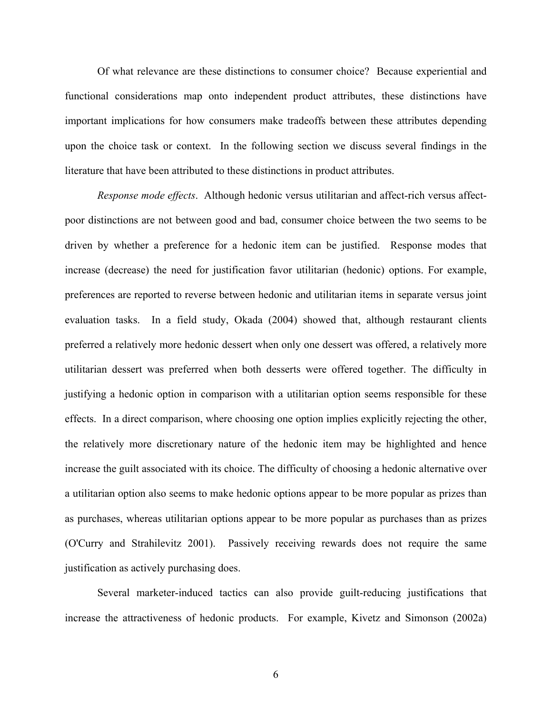Of what relevance are these distinctions to consumer choice? Because experiential and functional considerations map onto independent product attributes, these distinctions have important implications for how consumers make tradeoffs between these attributes depending upon the choice task or context. In the following section we discuss several findings in the literature that have been attributed to these distinctions in product attributes.

*Response mode effects*. Although hedonic versus utilitarian and affect-rich versus affectpoor distinctions are not between good and bad, consumer choice between the two seems to be driven by whether a preference for a hedonic item can be justified. Response modes that increase (decrease) the need for justification favor utilitarian (hedonic) options. For example, preferences are reported to reverse between hedonic and utilitarian items in separate versus joint evaluation tasks. In a field study, Okada (2004) showed that, although restaurant clients preferred a relatively more hedonic dessert when only one dessert was offered, a relatively more utilitarian dessert was preferred when both desserts were offered together. The difficulty in justifying a hedonic option in comparison with a utilitarian option seems responsible for these effects. In a direct comparison, where choosing one option implies explicitly rejecting the other, the relatively more discretionary nature of the hedonic item may be highlighted and hence increase the guilt associated with its choice. The difficulty of choosing a hedonic alternative over a utilitarian option also seems to make hedonic options appear to be more popular as prizes than as purchases, whereas utilitarian options appear to be more popular as purchases than as prizes (O'Curry and Strahilevitz 2001). Passively receiving rewards does not require the same justification as actively purchasing does.

Several marketer-induced tactics can also provide guilt-reducing justifications that increase the attractiveness of hedonic products. For example, Kivetz and Simonson (2002a)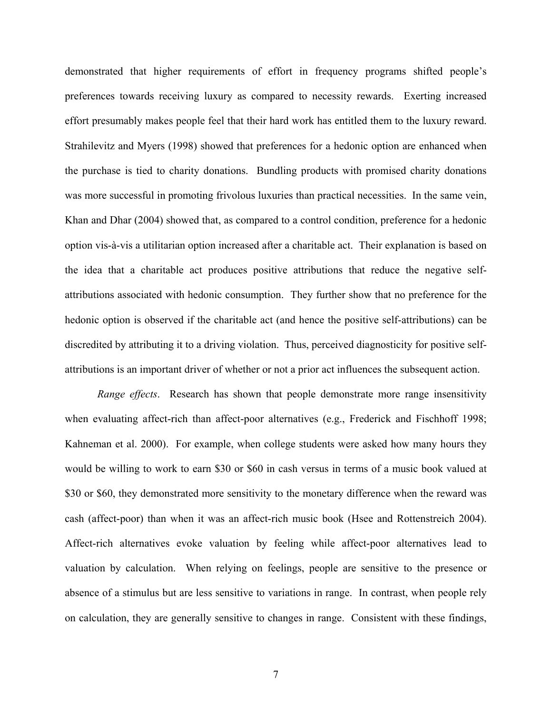demonstrated that higher requirements of effort in frequency programs shifted people's preferences towards receiving luxury as compared to necessity rewards. Exerting increased effort presumably makes people feel that their hard work has entitled them to the luxury reward. Strahilevitz and Myers (1998) showed that preferences for a hedonic option are enhanced when the purchase is tied to charity donations. Bundling products with promised charity donations was more successful in promoting frivolous luxuries than practical necessities. In the same vein, Khan and Dhar (2004) showed that, as compared to a control condition, preference for a hedonic option vis-à-vis a utilitarian option increased after a charitable act. Their explanation is based on the idea that a charitable act produces positive attributions that reduce the negative selfattributions associated with hedonic consumption. They further show that no preference for the hedonic option is observed if the charitable act (and hence the positive self-attributions) can be discredited by attributing it to a driving violation. Thus, perceived diagnosticity for positive selfattributions is an important driver of whether or not a prior act influences the subsequent action.

*Range effects*. Research has shown that people demonstrate more range insensitivity when evaluating affect-rich than affect-poor alternatives (e.g., Frederick and Fischhoff 1998; Kahneman et al. 2000). For example, when college students were asked how many hours they would be willing to work to earn \$30 or \$60 in cash versus in terms of a music book valued at \$30 or \$60, they demonstrated more sensitivity to the monetary difference when the reward was cash (affect-poor) than when it was an affect-rich music book (Hsee and Rottenstreich 2004). Affect-rich alternatives evoke valuation by feeling while affect-poor alternatives lead to valuation by calculation. When relying on feelings, people are sensitive to the presence or absence of a stimulus but are less sensitive to variations in range. In contrast, when people rely on calculation, they are generally sensitive to changes in range. Consistent with these findings,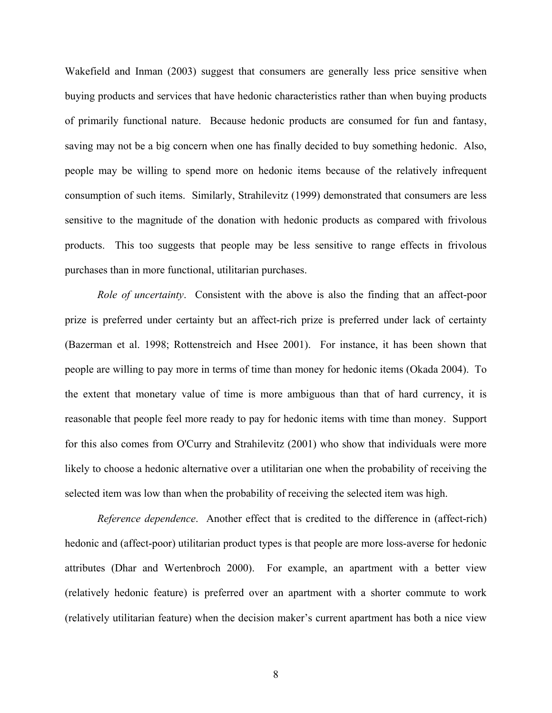Wakefield and Inman (2003) suggest that consumers are generally less price sensitive when buying products and services that have hedonic characteristics rather than when buying products of primarily functional nature. Because hedonic products are consumed for fun and fantasy, saving may not be a big concern when one has finally decided to buy something hedonic. Also, people may be willing to spend more on hedonic items because of the relatively infrequent consumption of such items. Similarly, Strahilevitz (1999) demonstrated that consumers are less sensitive to the magnitude of the donation with hedonic products as compared with frivolous products. This too suggests that people may be less sensitive to range effects in frivolous purchases than in more functional, utilitarian purchases.

*Role of uncertainty*. Consistent with the above is also the finding that an affect-poor prize is preferred under certainty but an affect-rich prize is preferred under lack of certainty (Bazerman et al. 1998; Rottenstreich and Hsee 2001). For instance, it has been shown that people are willing to pay more in terms of time than money for hedonic items (Okada 2004). To the extent that monetary value of time is more ambiguous than that of hard currency, it is reasonable that people feel more ready to pay for hedonic items with time than money. Support for this also comes from O'Curry and Strahilevitz (2001) who show that individuals were more likely to choose a hedonic alternative over a utilitarian one when the probability of receiving the selected item was low than when the probability of receiving the selected item was high.

*Reference dependence*. Another effect that is credited to the difference in (affect-rich) hedonic and (affect-poor) utilitarian product types is that people are more loss-averse for hedonic attributes (Dhar and Wertenbroch 2000). For example, an apartment with a better view (relatively hedonic feature) is preferred over an apartment with a shorter commute to work (relatively utilitarian feature) when the decision maker's current apartment has both a nice view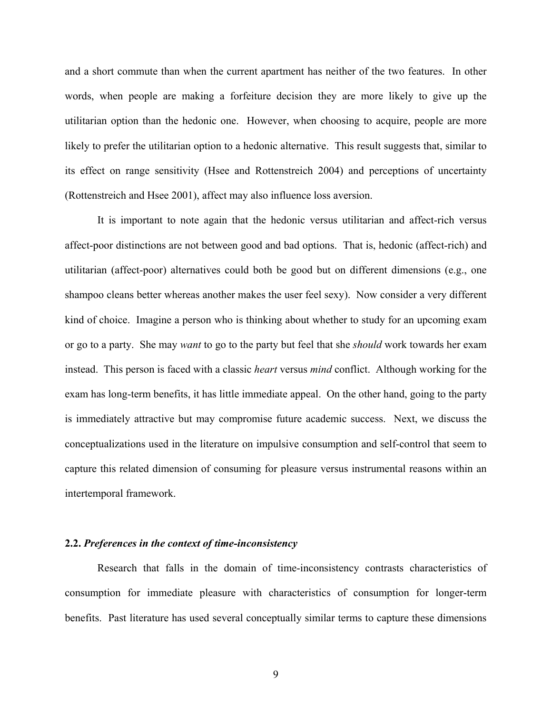and a short commute than when the current apartment has neither of the two features. In other words, when people are making a forfeiture decision they are more likely to give up the utilitarian option than the hedonic one. However, when choosing to acquire, people are more likely to prefer the utilitarian option to a hedonic alternative. This result suggests that, similar to its effect on range sensitivity (Hsee and Rottenstreich 2004) and perceptions of uncertainty (Rottenstreich and Hsee 2001), affect may also influence loss aversion.

It is important to note again that the hedonic versus utilitarian and affect-rich versus affect-poor distinctions are not between good and bad options. That is, hedonic (affect-rich) and utilitarian (affect-poor) alternatives could both be good but on different dimensions (e.g., one shampoo cleans better whereas another makes the user feel sexy). Now consider a very different kind of choice. Imagine a person who is thinking about whether to study for an upcoming exam or go to a party. She may *want* to go to the party but feel that she *should* work towards her exam instead. This person is faced with a classic *heart* versus *mind* conflict. Although working for the exam has long-term benefits, it has little immediate appeal. On the other hand, going to the party is immediately attractive but may compromise future academic success. Next, we discuss the conceptualizations used in the literature on impulsive consumption and self-control that seem to capture this related dimension of consuming for pleasure versus instrumental reasons within an intertemporal framework.

## **2.2.** *Preferences in the context of time-inconsistency*

Research that falls in the domain of time-inconsistency contrasts characteristics of consumption for immediate pleasure with characteristics of consumption for longer-term benefits. Past literature has used several conceptually similar terms to capture these dimensions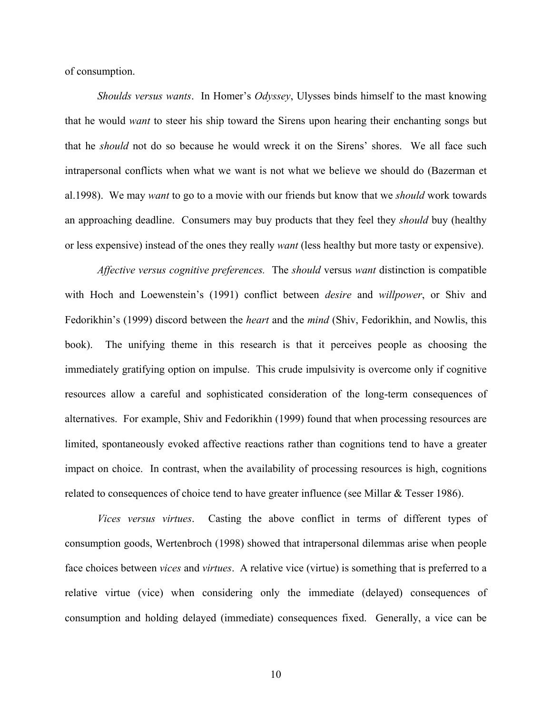of consumption.

*Shoulds versus wants*. In Homer's *Odyssey*, Ulysses binds himself to the mast knowing that he would *want* to steer his ship toward the Sirens upon hearing their enchanting songs but that he *should* not do so because he would wreck it on the Sirens' shores. We all face such intrapersonal conflicts when what we want is not what we believe we should do (Bazerman et al.1998). We may *want* to go to a movie with our friends but know that we *should* work towards an approaching deadline. Consumers may buy products that they feel they *should* buy (healthy or less expensive) instead of the ones they really *want* (less healthy but more tasty or expensive).

*Affective versus cognitive preferences.* The *should* versus *want* distinction is compatible with Hoch and Loewenstein's (1991) conflict between *desire* and *willpower*, or Shiv and Fedorikhin's (1999) discord between the *heart* and the *mind* (Shiv, Fedorikhin, and Nowlis, this book). The unifying theme in this research is that it perceives people as choosing the immediately gratifying option on impulse. This crude impulsivity is overcome only if cognitive resources allow a careful and sophisticated consideration of the long-term consequences of alternatives. For example, Shiv and Fedorikhin (1999) found that when processing resources are limited, spontaneously evoked affective reactions rather than cognitions tend to have a greater impact on choice. In contrast, when the availability of processing resources is high, cognitions related to consequences of choice tend to have greater influence (see Millar & Tesser 1986).

*Vices versus virtues*. Casting the above conflict in terms of different types of consumption goods, Wertenbroch (1998) showed that intrapersonal dilemmas arise when people face choices between *vices* and *virtues*. A relative vice (virtue) is something that is preferred to a relative virtue (vice) when considering only the immediate (delayed) consequences of consumption and holding delayed (immediate) consequences fixed. Generally, a vice can be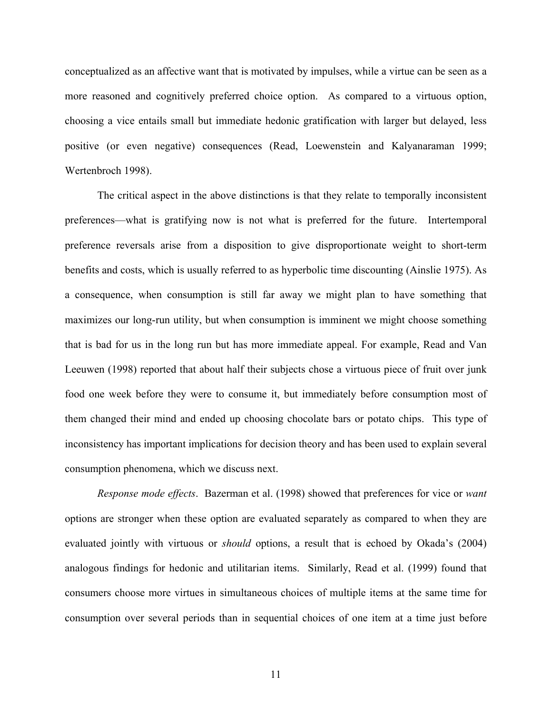conceptualized as an affective want that is motivated by impulses, while a virtue can be seen as a more reasoned and cognitively preferred choice option. As compared to a virtuous option, choosing a vice entails small but immediate hedonic gratification with larger but delayed, less positive (or even negative) consequences (Read, Loewenstein and Kalyanaraman 1999; Wertenbroch 1998).

The critical aspect in the above distinctions is that they relate to temporally inconsistent preferences—what is gratifying now is not what is preferred for the future. Intertemporal preference reversals arise from a disposition to give disproportionate weight to short-term benefits and costs, which is usually referred to as hyperbolic time discounting (Ainslie 1975). As a consequence, when consumption is still far away we might plan to have something that maximizes our long-run utility, but when consumption is imminent we might choose something that is bad for us in the long run but has more immediate appeal. For example, Read and Van Leeuwen (1998) reported that about half their subjects chose a virtuous piece of fruit over junk food one week before they were to consume it, but immediately before consumption most of them changed their mind and ended up choosing chocolate bars or potato chips. This type of inconsistency has important implications for decision theory and has been used to explain several consumption phenomena, which we discuss next.

*Response mode effects*. Bazerman et al. (1998) showed that preferences for vice or *want* options are stronger when these option are evaluated separately as compared to when they are evaluated jointly with virtuous or *should* options, a result that is echoed by Okada's (2004) analogous findings for hedonic and utilitarian items. Similarly, Read et al. (1999) found that consumers choose more virtues in simultaneous choices of multiple items at the same time for consumption over several periods than in sequential choices of one item at a time just before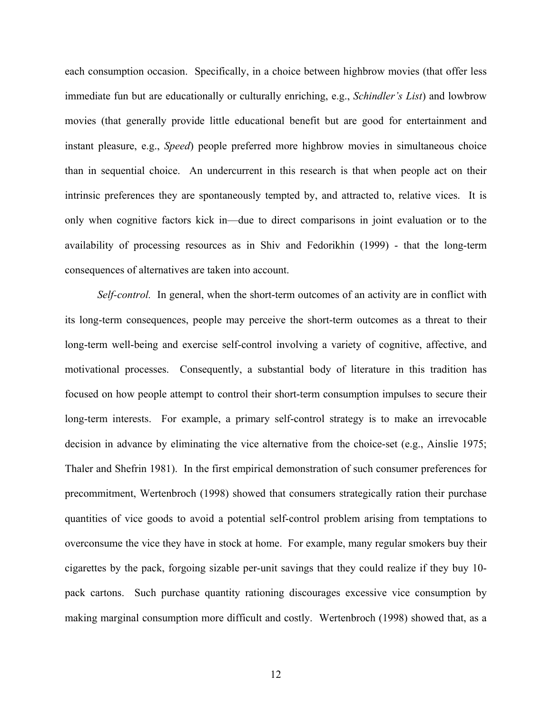each consumption occasion. Specifically, in a choice between highbrow movies (that offer less immediate fun but are educationally or culturally enriching, e.g., *Schindler's List*) and lowbrow movies (that generally provide little educational benefit but are good for entertainment and instant pleasure, e.g., *Speed*) people preferred more highbrow movies in simultaneous choice than in sequential choice. An undercurrent in this research is that when people act on their intrinsic preferences they are spontaneously tempted by, and attracted to, relative vices. It is only when cognitive factors kick in—due to direct comparisons in joint evaluation or to the availability of processing resources as in Shiv and Fedorikhin (1999) - that the long-term consequences of alternatives are taken into account.

*Self-control.* In general, when the short-term outcomes of an activity are in conflict with its long-term consequences, people may perceive the short-term outcomes as a threat to their long-term well-being and exercise self-control involving a variety of cognitive, affective, and motivational processes. Consequently, a substantial body of literature in this tradition has focused on how people attempt to control their short-term consumption impulses to secure their long-term interests. For example, a primary self-control strategy is to make an irrevocable decision in advance by eliminating the vice alternative from the choice-set (e.g., Ainslie 1975; Thaler and Shefrin 1981). In the first empirical demonstration of such consumer preferences for precommitment, Wertenbroch (1998) showed that consumers strategically ration their purchase quantities of vice goods to avoid a potential self-control problem arising from temptations to overconsume the vice they have in stock at home. For example, many regular smokers buy their cigarettes by the pack, forgoing sizable per-unit savings that they could realize if they buy 10 pack cartons. Such purchase quantity rationing discourages excessive vice consumption by making marginal consumption more difficult and costly. Wertenbroch (1998) showed that, as a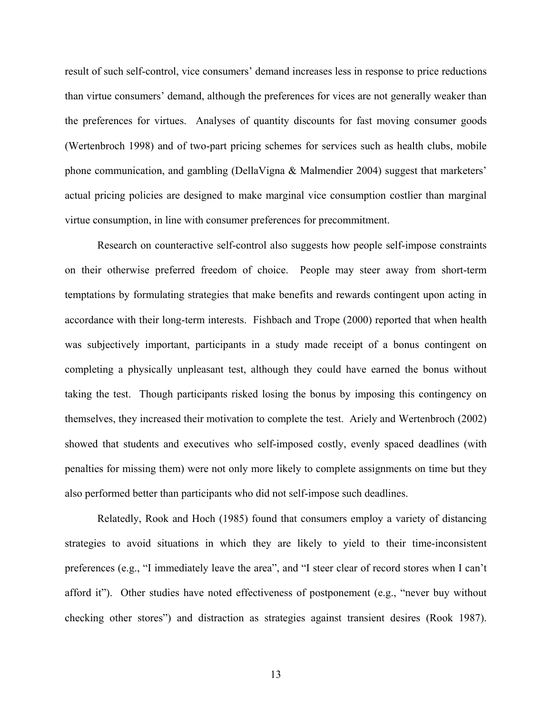result of such self-control, vice consumers' demand increases less in response to price reductions than virtue consumers' demand, although the preferences for vices are not generally weaker than the preferences for virtues. Analyses of quantity discounts for fast moving consumer goods (Wertenbroch 1998) and of two-part pricing schemes for services such as health clubs, mobile phone communication, and gambling (DellaVigna & Malmendier 2004) suggest that marketers' actual pricing policies are designed to make marginal vice consumption costlier than marginal virtue consumption, in line with consumer preferences for precommitment.

Research on counteractive self-control also suggests how people self-impose constraints on their otherwise preferred freedom of choice. People may steer away from short-term temptations by formulating strategies that make benefits and rewards contingent upon acting in accordance with their long-term interests. Fishbach and Trope (2000) reported that when health was subjectively important, participants in a study made receipt of a bonus contingent on completing a physically unpleasant test, although they could have earned the bonus without taking the test. Though participants risked losing the bonus by imposing this contingency on themselves, they increased their motivation to complete the test. Ariely and Wertenbroch (2002) showed that students and executives who self-imposed costly, evenly spaced deadlines (with penalties for missing them) were not only more likely to complete assignments on time but they also performed better than participants who did not self-impose such deadlines.

Relatedly, Rook and Hoch (1985) found that consumers employ a variety of distancing strategies to avoid situations in which they are likely to yield to their time-inconsistent preferences (e.g., "I immediately leave the area", and "I steer clear of record stores when I can't afford it"). Other studies have noted effectiveness of postponement (e.g., "never buy without checking other stores") and distraction as strategies against transient desires (Rook 1987).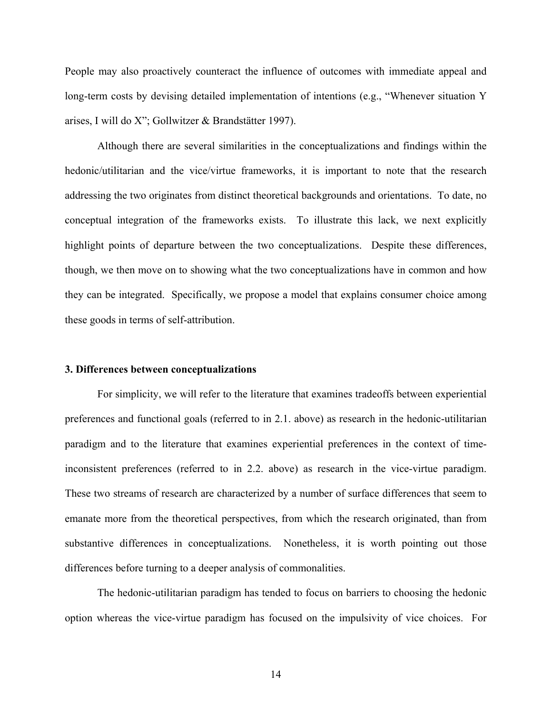People may also proactively counteract the influence of outcomes with immediate appeal and long-term costs by devising detailed implementation of intentions (e.g., "Whenever situation Y arises, I will do X"; Gollwitzer & Brandstätter 1997).

Although there are several similarities in the conceptualizations and findings within the hedonic/utilitarian and the vice/virtue frameworks, it is important to note that the research addressing the two originates from distinct theoretical backgrounds and orientations. To date, no conceptual integration of the frameworks exists. To illustrate this lack, we next explicitly highlight points of departure between the two conceptualizations. Despite these differences, though, we then move on to showing what the two conceptualizations have in common and how they can be integrated. Specifically, we propose a model that explains consumer choice among these goods in terms of self-attribution.

#### **3. Differences between conceptualizations**

For simplicity, we will refer to the literature that examines tradeoffs between experiential preferences and functional goals (referred to in 2.1. above) as research in the hedonic-utilitarian paradigm and to the literature that examines experiential preferences in the context of timeinconsistent preferences (referred to in 2.2. above) as research in the vice-virtue paradigm. These two streams of research are characterized by a number of surface differences that seem to emanate more from the theoretical perspectives, from which the research originated, than from substantive differences in conceptualizations. Nonetheless, it is worth pointing out those differences before turning to a deeper analysis of commonalities.

The hedonic-utilitarian paradigm has tended to focus on barriers to choosing the hedonic option whereas the vice-virtue paradigm has focused on the impulsivity of vice choices. For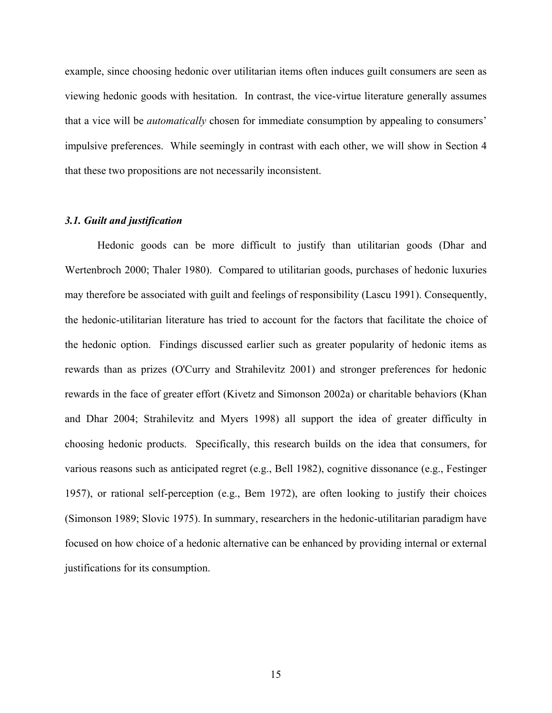example, since choosing hedonic over utilitarian items often induces guilt consumers are seen as viewing hedonic goods with hesitation. In contrast, the vice-virtue literature generally assumes that a vice will be *automatically* chosen for immediate consumption by appealing to consumers' impulsive preferences. While seemingly in contrast with each other, we will show in Section 4 that these two propositions are not necessarily inconsistent.

## *3.1. Guilt and justification*

Hedonic goods can be more difficult to justify than utilitarian goods (Dhar and Wertenbroch 2000; Thaler 1980). Compared to utilitarian goods, purchases of hedonic luxuries may therefore be associated with guilt and feelings of responsibility (Lascu 1991). Consequently, the hedonic-utilitarian literature has tried to account for the factors that facilitate the choice of the hedonic option. Findings discussed earlier such as greater popularity of hedonic items as rewards than as prizes (O'Curry and Strahilevitz 2001) and stronger preferences for hedonic rewards in the face of greater effort (Kivetz and Simonson 2002a) or charitable behaviors (Khan and Dhar 2004; Strahilevitz and Myers 1998) all support the idea of greater difficulty in choosing hedonic products. Specifically, this research builds on the idea that consumers, for various reasons such as anticipated regret (e.g., Bell 1982), cognitive dissonance (e.g., Festinger 1957), or rational self-perception (e.g., Bem 1972), are often looking to justify their choices (Simonson 1989; Slovic 1975). In summary, researchers in the hedonic-utilitarian paradigm have focused on how choice of a hedonic alternative can be enhanced by providing internal or external justifications for its consumption.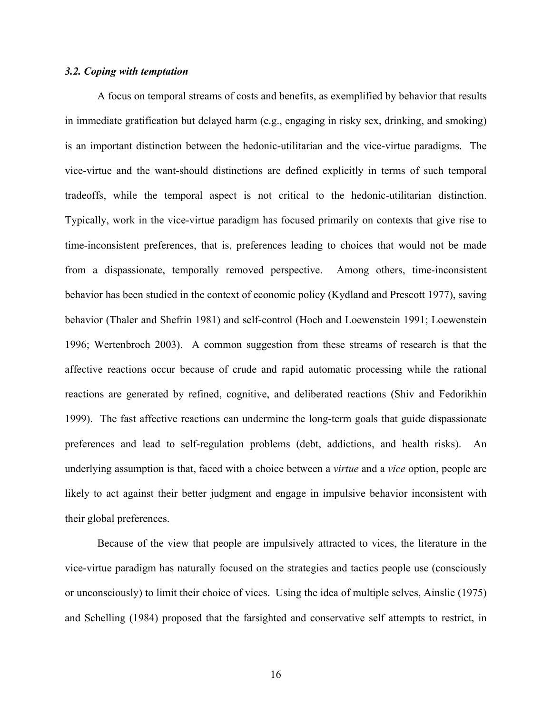## *3.2. Coping with temptation*

A focus on temporal streams of costs and benefits, as exemplified by behavior that results in immediate gratification but delayed harm (e.g., engaging in risky sex, drinking, and smoking) is an important distinction between the hedonic-utilitarian and the vice-virtue paradigms. The vice-virtue and the want-should distinctions are defined explicitly in terms of such temporal tradeoffs, while the temporal aspect is not critical to the hedonic-utilitarian distinction. Typically, work in the vice-virtue paradigm has focused primarily on contexts that give rise to time-inconsistent preferences, that is, preferences leading to choices that would not be made from a dispassionate, temporally removed perspective. Among others, time-inconsistent behavior has been studied in the context of economic policy (Kydland and Prescott 1977), saving behavior (Thaler and Shefrin 1981) and self-control (Hoch and Loewenstein 1991; Loewenstein 1996; Wertenbroch 2003). A common suggestion from these streams of research is that the affective reactions occur because of crude and rapid automatic processing while the rational reactions are generated by refined, cognitive, and deliberated reactions (Shiv and Fedorikhin 1999). The fast affective reactions can undermine the long-term goals that guide dispassionate preferences and lead to self-regulation problems (debt, addictions, and health risks). An underlying assumption is that, faced with a choice between a *virtue* and a *vice* option, people are likely to act against their better judgment and engage in impulsive behavior inconsistent with their global preferences.

Because of the view that people are impulsively attracted to vices, the literature in the vice-virtue paradigm has naturally focused on the strategies and tactics people use (consciously or unconsciously) to limit their choice of vices. Using the idea of multiple selves, Ainslie (1975) and Schelling (1984) proposed that the farsighted and conservative self attempts to restrict, in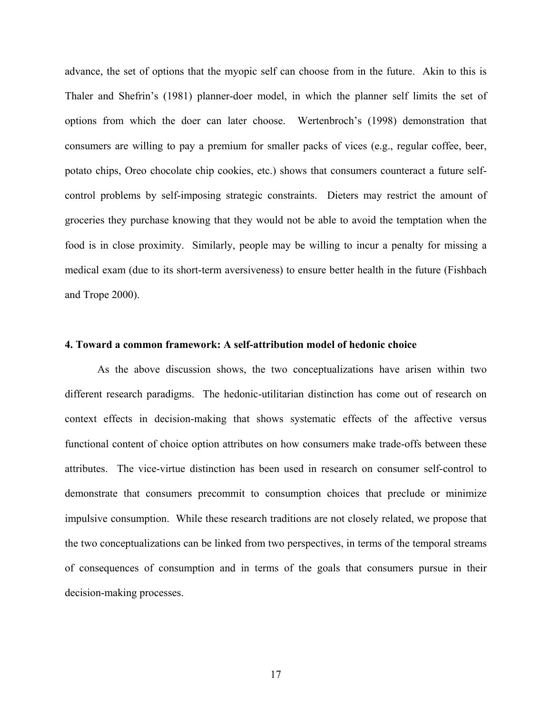advance, the set of options that the myopic self can choose from in the future. Akin to this is Thaler and Shefrin's (1981) planner-doer model, in which the planner self limits the set of options from which the doer can later choose. Wertenbroch's (1998) demonstration that consumers are willing to pay a premium for smaller packs of vices (e.g., regular coffee, beer, potato chips, Oreo chocolate chip cookies, etc.) shows that consumers counteract a future selfcontrol problems by self-imposing strategic constraints. Dieters may restrict the amount of groceries they purchase knowing that they would not be able to avoid the temptation when the food is in close proximity. Similarly, people may be willing to incur a penalty for missing a medical exam (due to its short-term aversiveness) to ensure better health in the future (Fishbach and Trope 2000).

#### **4. Toward a common framework: A self-attribution model of hedonic choice**

As the above discussion shows, the two conceptualizations have arisen within two different research paradigms. The hedonic-utilitarian distinction has come out of research on context effects in decision-making that shows systematic effects of the affective versus functional content of choice option attributes on how consumers make trade-offs between these attributes. The vice-virtue distinction has been used in research on consumer self-control to demonstrate that consumers precommit to consumption choices that preclude or minimize impulsive consumption. While these research traditions are not closely related, we propose that the two conceptualizations can be linked from two perspectives, in terms of the temporal streams of consequences of consumption and in terms of the goals that consumers pursue in their decision-making processes.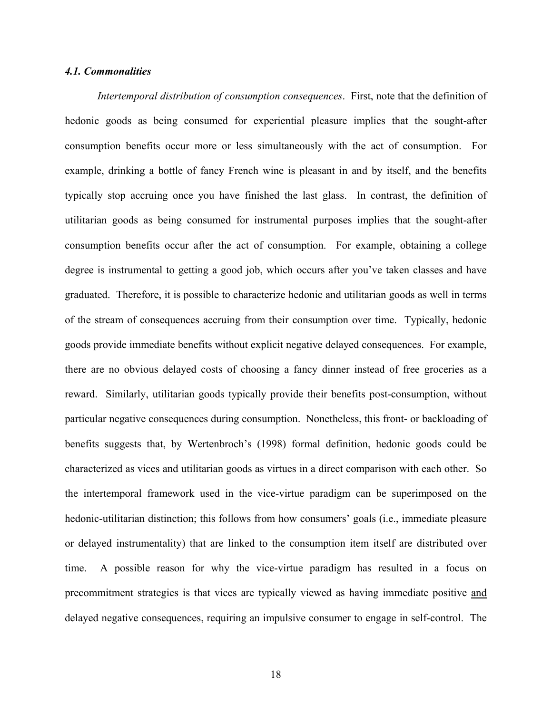## *4.1. Commonalities*

*Intertemporal distribution of consumption consequences*. First, note that the definition of hedonic goods as being consumed for experiential pleasure implies that the sought-after consumption benefits occur more or less simultaneously with the act of consumption. For example, drinking a bottle of fancy French wine is pleasant in and by itself, and the benefits typically stop accruing once you have finished the last glass. In contrast, the definition of utilitarian goods as being consumed for instrumental purposes implies that the sought-after consumption benefits occur after the act of consumption. For example, obtaining a college degree is instrumental to getting a good job, which occurs after you've taken classes and have graduated. Therefore, it is possible to characterize hedonic and utilitarian goods as well in terms of the stream of consequences accruing from their consumption over time. Typically, hedonic goods provide immediate benefits without explicit negative delayed consequences. For example, there are no obvious delayed costs of choosing a fancy dinner instead of free groceries as a reward. Similarly, utilitarian goods typically provide their benefits post-consumption, without particular negative consequences during consumption. Nonetheless, this front- or backloading of benefits suggests that, by Wertenbroch's (1998) formal definition, hedonic goods could be characterized as vices and utilitarian goods as virtues in a direct comparison with each other. So the intertemporal framework used in the vice-virtue paradigm can be superimposed on the hedonic-utilitarian distinction; this follows from how consumers' goals (i.e., immediate pleasure or delayed instrumentality) that are linked to the consumption item itself are distributed over time. A possible reason for why the vice-virtue paradigm has resulted in a focus on precommitment strategies is that vices are typically viewed as having immediate positive and delayed negative consequences, requiring an impulsive consumer to engage in self-control. The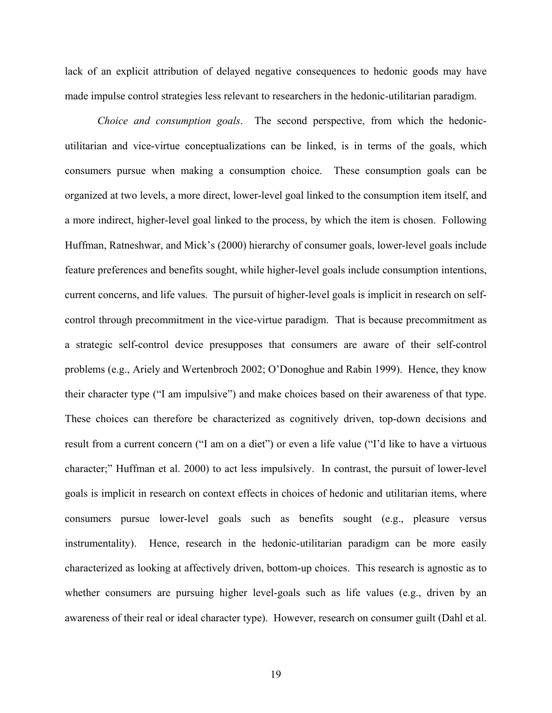lack of an explicit attribution of delayed negative consequences to hedonic goods may have made impulse control strategies less relevant to researchers in the hedonic-utilitarian paradigm.

*Choice and consumption goals*. The second perspective, from which the hedonicutilitarian and vice-virtue conceptualizations can be linked, is in terms of the goals, which consumers pursue when making a consumption choice. These consumption goals can be organized at two levels, a more direct, lower-level goal linked to the consumption item itself, and a more indirect, higher-level goal linked to the process, by which the item is chosen. Following Huffman, Ratneshwar, and Mick's (2000) hierarchy of consumer goals, lower-level goals include feature preferences and benefits sought, while higher-level goals include consumption intentions, current concerns, and life values. The pursuit of higher-level goals is implicit in research on selfcontrol through precommitment in the vice-virtue paradigm. That is because precommitment as a strategic self-control device presupposes that consumers are aware of their self-control problems (e.g., Ariely and Wertenbroch 2002; O'Donoghue and Rabin 1999). Hence, they know their character type ("I am impulsive") and make choices based on their awareness of that type. These choices can therefore be characterized as cognitively driven, top-down decisions and result from a current concern ("I am on a diet") or even a life value ("I'd like to have a virtuous character;" Huffman et al. 2000) to act less impulsively. In contrast, the pursuit of lower-level goals is implicit in research on context effects in choices of hedonic and utilitarian items, where consumers pursue lower-level goals such as benefits sought (e.g., pleasure versus instrumentality). Hence, research in the hedonic-utilitarian paradigm can be more easily characterized as looking at affectively driven, bottom-up choices. This research is agnostic as to whether consumers are pursuing higher level-goals such as life values (e.g., driven by an awareness of their real or ideal character type). However, research on consumer guilt (Dahl et al.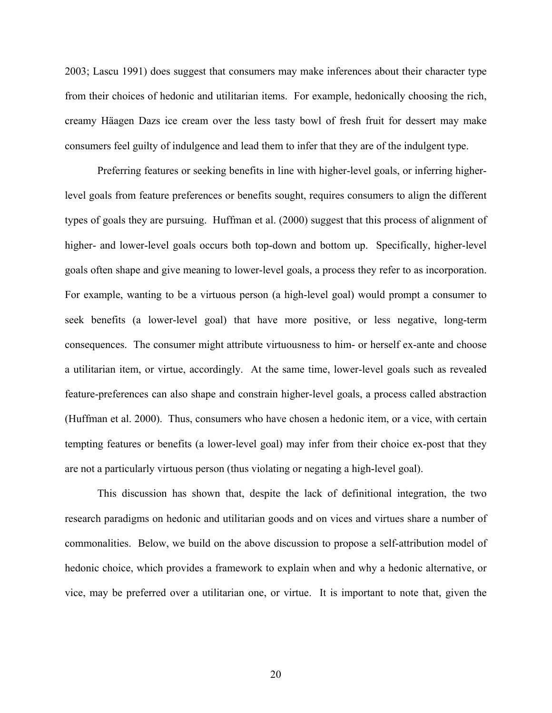2003; Lascu 1991) does suggest that consumers may make inferences about their character type from their choices of hedonic and utilitarian items. For example, hedonically choosing the rich, creamy Häagen Dazs ice cream over the less tasty bowl of fresh fruit for dessert may make consumers feel guilty of indulgence and lead them to infer that they are of the indulgent type.

Preferring features or seeking benefits in line with higher-level goals, or inferring higherlevel goals from feature preferences or benefits sought, requires consumers to align the different types of goals they are pursuing. Huffman et al. (2000) suggest that this process of alignment of higher- and lower-level goals occurs both top-down and bottom up. Specifically, higher-level goals often shape and give meaning to lower-level goals, a process they refer to as incorporation. For example, wanting to be a virtuous person (a high-level goal) would prompt a consumer to seek benefits (a lower-level goal) that have more positive, or less negative, long-term consequences. The consumer might attribute virtuousness to him- or herself ex-ante and choose a utilitarian item, or virtue, accordingly. At the same time, lower-level goals such as revealed feature-preferences can also shape and constrain higher-level goals, a process called abstraction (Huffman et al. 2000). Thus, consumers who have chosen a hedonic item, or a vice, with certain tempting features or benefits (a lower-level goal) may infer from their choice ex-post that they are not a particularly virtuous person (thus violating or negating a high-level goal).

This discussion has shown that, despite the lack of definitional integration, the two research paradigms on hedonic and utilitarian goods and on vices and virtues share a number of commonalities. Below, we build on the above discussion to propose a self-attribution model of hedonic choice, which provides a framework to explain when and why a hedonic alternative, or vice, may be preferred over a utilitarian one, or virtue. It is important to note that, given the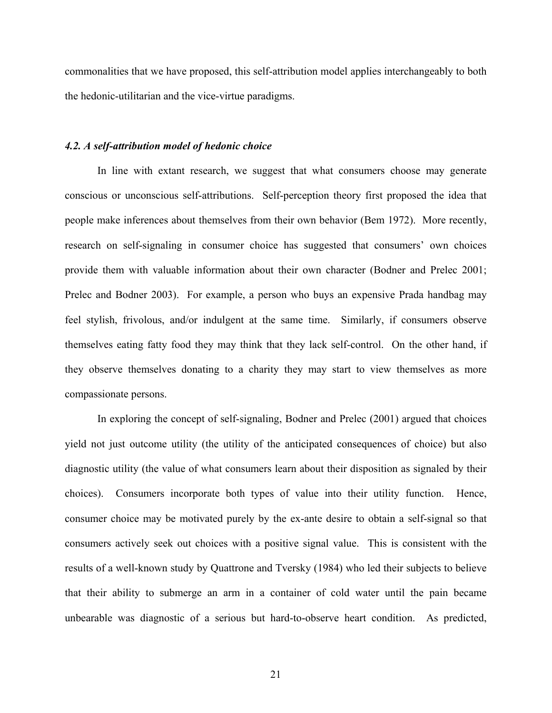commonalities that we have proposed, this self-attribution model applies interchangeably to both the hedonic-utilitarian and the vice-virtue paradigms.

## *4.2. A self-attribution model of hedonic choice*

In line with extant research, we suggest that what consumers choose may generate conscious or unconscious self-attributions. Self-perception theory first proposed the idea that people make inferences about themselves from their own behavior (Bem 1972). More recently, research on self-signaling in consumer choice has suggested that consumers' own choices provide them with valuable information about their own character (Bodner and Prelec 2001; Prelec and Bodner 2003). For example, a person who buys an expensive Prada handbag may feel stylish, frivolous, and/or indulgent at the same time. Similarly, if consumers observe themselves eating fatty food they may think that they lack self-control. On the other hand, if they observe themselves donating to a charity they may start to view themselves as more compassionate persons.

In exploring the concept of self-signaling, Bodner and Prelec (2001) argued that choices yield not just outcome utility (the utility of the anticipated consequences of choice) but also diagnostic utility (the value of what consumers learn about their disposition as signaled by their choices). Consumers incorporate both types of value into their utility function. Hence, consumer choice may be motivated purely by the ex-ante desire to obtain a self-signal so that consumers actively seek out choices with a positive signal value. This is consistent with the results of a well-known study by Quattrone and Tversky (1984) who led their subjects to believe that their ability to submerge an arm in a container of cold water until the pain became unbearable was diagnostic of a serious but hard-to-observe heart condition. As predicted,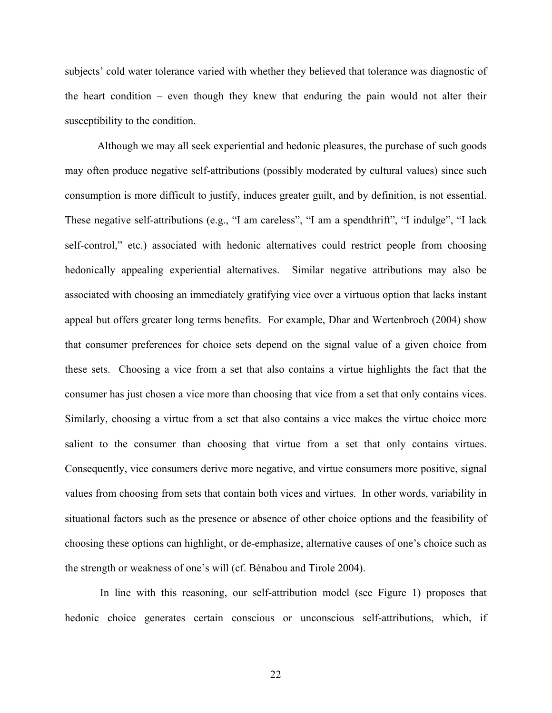subjects' cold water tolerance varied with whether they believed that tolerance was diagnostic of the heart condition – even though they knew that enduring the pain would not alter their susceptibility to the condition.

Although we may all seek experiential and hedonic pleasures, the purchase of such goods may often produce negative self-attributions (possibly moderated by cultural values) since such consumption is more difficult to justify, induces greater guilt, and by definition, is not essential. These negative self-attributions (e.g., "I am careless", "I am a spendthrift", "I indulge", "I lack self-control," etc.) associated with hedonic alternatives could restrict people from choosing hedonically appealing experiential alternatives. Similar negative attributions may also be associated with choosing an immediately gratifying vice over a virtuous option that lacks instant appeal but offers greater long terms benefits. For example, Dhar and Wertenbroch (2004) show that consumer preferences for choice sets depend on the signal value of a given choice from these sets. Choosing a vice from a set that also contains a virtue highlights the fact that the consumer has just chosen a vice more than choosing that vice from a set that only contains vices. Similarly, choosing a virtue from a set that also contains a vice makes the virtue choice more salient to the consumer than choosing that virtue from a set that only contains virtues. Consequently, vice consumers derive more negative, and virtue consumers more positive, signal values from choosing from sets that contain both vices and virtues. In other words, variability in situational factors such as the presence or absence of other choice options and the feasibility of choosing these options can highlight, or de-emphasize, alternative causes of one's choice such as the strength or weakness of one's will (cf. Bénabou and Tirole 2004).

In line with this reasoning, our self-attribution model (see Figure 1) proposes that hedonic choice generates certain conscious or unconscious self-attributions, which, if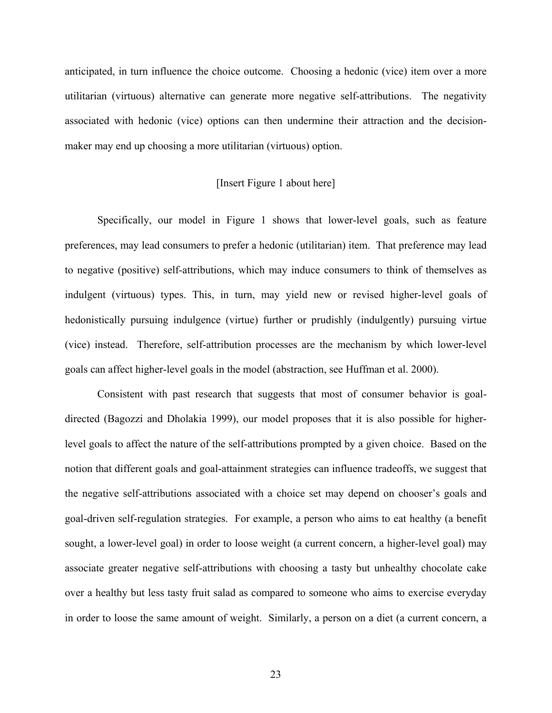anticipated, in turn influence the choice outcome. Choosing a hedonic (vice) item over a more utilitarian (virtuous) alternative can generate more negative self-attributions. The negativity associated with hedonic (vice) options can then undermine their attraction and the decisionmaker may end up choosing a more utilitarian (virtuous) option.

# [Insert Figure 1 about here]

Specifically, our model in Figure 1 shows that lower-level goals, such as feature preferences, may lead consumers to prefer a hedonic (utilitarian) item. That preference may lead to negative (positive) self-attributions, which may induce consumers to think of themselves as indulgent (virtuous) types. This, in turn, may yield new or revised higher-level goals of hedonistically pursuing indulgence (virtue) further or prudishly (indulgently) pursuing virtue (vice) instead. Therefore, self-attribution processes are the mechanism by which lower-level goals can affect higher-level goals in the model (abstraction, see Huffman et al. 2000).

Consistent with past research that suggests that most of consumer behavior is goaldirected (Bagozzi and Dholakia 1999), our model proposes that it is also possible for higherlevel goals to affect the nature of the self-attributions prompted by a given choice. Based on the notion that different goals and goal-attainment strategies can influence tradeoffs, we suggest that the negative self-attributions associated with a choice set may depend on chooser's goals and goal-driven self-regulation strategies. For example, a person who aims to eat healthy (a benefit sought, a lower-level goal) in order to loose weight (a current concern, a higher-level goal) may associate greater negative self-attributions with choosing a tasty but unhealthy chocolate cake over a healthy but less tasty fruit salad as compared to someone who aims to exercise everyday in order to loose the same amount of weight. Similarly, a person on a diet (a current concern, a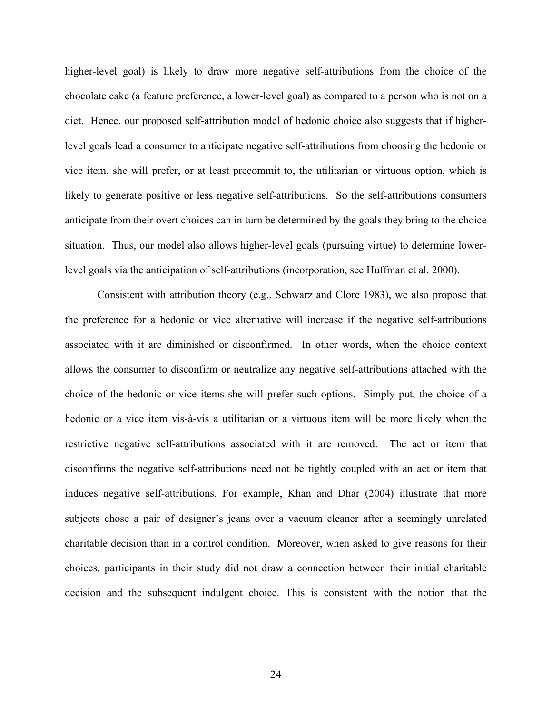higher-level goal) is likely to draw more negative self-attributions from the choice of the chocolate cake (a feature preference, a lower-level goal) as compared to a person who is not on a diet. Hence, our proposed self-attribution model of hedonic choice also suggests that if higherlevel goals lead a consumer to anticipate negative self-attributions from choosing the hedonic or vice item, she will prefer, or at least precommit to, the utilitarian or virtuous option, which is likely to generate positive or less negative self-attributions. So the self-attributions consumers anticipate from their overt choices can in turn be determined by the goals they bring to the choice situation. Thus, our model also allows higher-level goals (pursuing virtue) to determine lowerlevel goals via the anticipation of self-attributions (incorporation, see Huffman et al. 2000).

Consistent with attribution theory (e.g., Schwarz and Clore 1983), we also propose that the preference for a hedonic or vice alternative will increase if the negative self-attributions associated with it are diminished or disconfirmed. In other words, when the choice context allows the consumer to disconfirm or neutralize any negative self-attributions attached with the choice of the hedonic or vice items she will prefer such options. Simply put, the choice of a hedonic or a vice item vis-à-vis a utilitarian or a virtuous item will be more likely when the restrictive negative self-attributions associated with it are removed. The act or item that disconfirms the negative self-attributions need not be tightly coupled with an act or item that induces negative self-attributions. For example, Khan and Dhar (2004) illustrate that more subjects chose a pair of designer's jeans over a vacuum cleaner after a seemingly unrelated charitable decision than in a control condition. Moreover, when asked to give reasons for their choices, participants in their study did not draw a connection between their initial charitable decision and the subsequent indulgent choice. This is consistent with the notion that the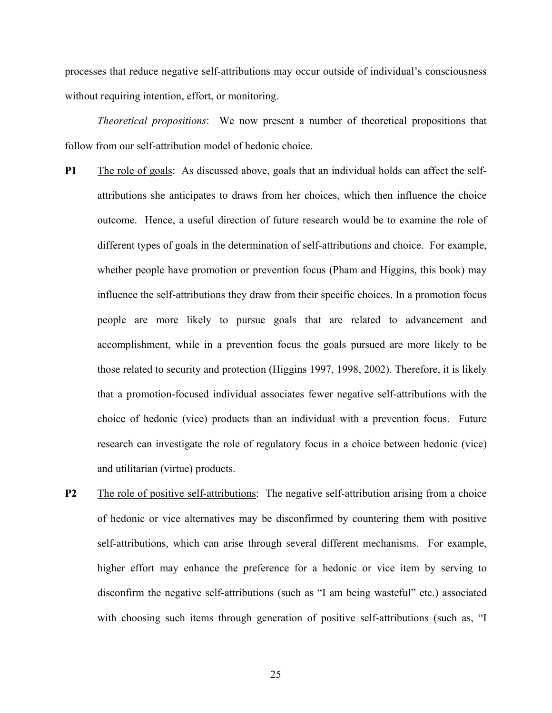processes that reduce negative self-attributions may occur outside of individual's consciousness without requiring intention, effort, or monitoring.

*Theoretical propositions*: We now present a number of theoretical propositions that follow from our self-attribution model of hedonic choice.

- **P1** The role of goals: As discussed above, goals that an individual holds can affect the selfattributions she anticipates to draws from her choices, which then influence the choice outcome. Hence, a useful direction of future research would be to examine the role of different types of goals in the determination of self-attributions and choice. For example, whether people have promotion or prevention focus (Pham and Higgins, this book) may influence the self-attributions they draw from their specific choices. In a promotion focus people are more likely to pursue goals that are related to advancement and accomplishment, while in a prevention focus the goals pursued are more likely to be those related to security and protection (Higgins 1997, 1998, 2002). Therefore, it is likely that a promotion-focused individual associates fewer negative self-attributions with the choice of hedonic (vice) products than an individual with a prevention focus. Future research can investigate the role of regulatory focus in a choice between hedonic (vice) and utilitarian (virtue) products.
- **P2** The role of positive self-attributions: The negative self-attribution arising from a choice of hedonic or vice alternatives may be disconfirmed by countering them with positive self-attributions, which can arise through several different mechanisms. For example, higher effort may enhance the preference for a hedonic or vice item by serving to disconfirm the negative self-attributions (such as "I am being wasteful" etc.) associated with choosing such items through generation of positive self-attributions (such as, "I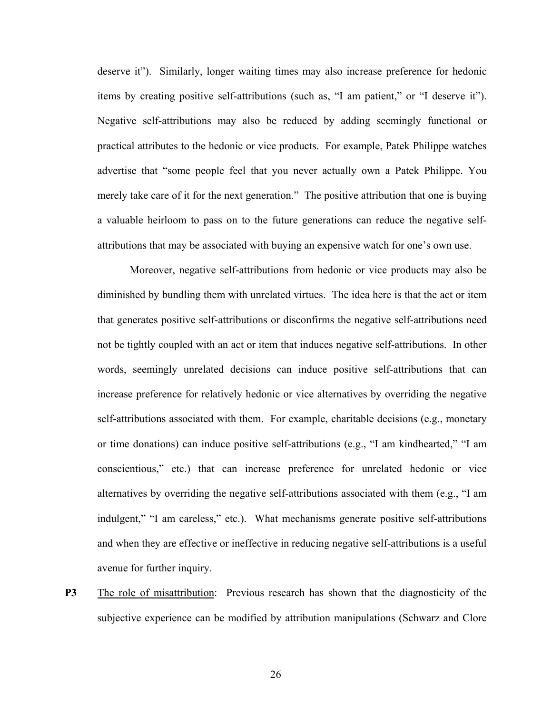deserve it"). Similarly, longer waiting times may also increase preference for hedonic items by creating positive self-attributions (such as, "I am patient," or "I deserve it"). Negative self-attributions may also be reduced by adding seemingly functional or practical attributes to the hedonic or vice products. For example, Patek Philippe watches advertise that "some people feel that you never actually own a Patek Philippe. You merely take care of it for the next generation." The positive attribution that one is buying a valuable heirloom to pass on to the future generations can reduce the negative selfattributions that may be associated with buying an expensive watch for one's own use.

Moreover, negative self-attributions from hedonic or vice products may also be diminished by bundling them with unrelated virtues. The idea here is that the act or item that generates positive self-attributions or disconfirms the negative self-attributions need not be tightly coupled with an act or item that induces negative self-attributions. In other words, seemingly unrelated decisions can induce positive self-attributions that can increase preference for relatively hedonic or vice alternatives by overriding the negative self-attributions associated with them. For example, charitable decisions (e.g., monetary or time donations) can induce positive self-attributions (e.g., "I am kindhearted," "I am conscientious," etc.) that can increase preference for unrelated hedonic or vice alternatives by overriding the negative self-attributions associated with them (e.g., "I am indulgent," "I am careless," etc.). What mechanisms generate positive self-attributions and when they are effective or ineffective in reducing negative self-attributions is a useful avenue for further inquiry.

**P3** The role of misattribution: Previous research has shown that the diagnosticity of the subjective experience can be modified by attribution manipulations (Schwarz and Clore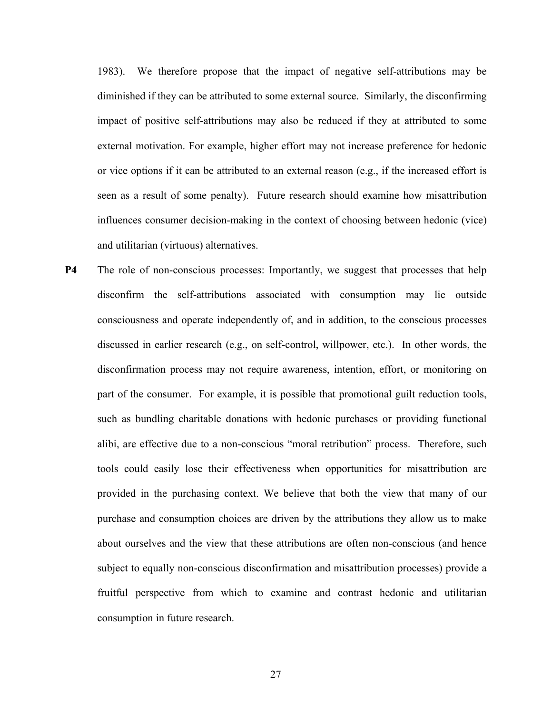1983). We therefore propose that the impact of negative self-attributions may be diminished if they can be attributed to some external source. Similarly, the disconfirming impact of positive self-attributions may also be reduced if they at attributed to some external motivation. For example, higher effort may not increase preference for hedonic or vice options if it can be attributed to an external reason (e.g., if the increased effort is seen as a result of some penalty). Future research should examine how misattribution influences consumer decision-making in the context of choosing between hedonic (vice) and utilitarian (virtuous) alternatives.

**P4** The role of non-conscious processes: Importantly, we suggest that processes that help disconfirm the self-attributions associated with consumption may lie outside consciousness and operate independently of, and in addition, to the conscious processes discussed in earlier research (e.g., on self-control, willpower, etc.). In other words, the disconfirmation process may not require awareness, intention, effort, or monitoring on part of the consumer. For example, it is possible that promotional guilt reduction tools, such as bundling charitable donations with hedonic purchases or providing functional alibi, are effective due to a non-conscious "moral retribution" process. Therefore, such tools could easily lose their effectiveness when opportunities for misattribution are provided in the purchasing context. We believe that both the view that many of our purchase and consumption choices are driven by the attributions they allow us to make about ourselves and the view that these attributions are often non-conscious (and hence subject to equally non-conscious disconfirmation and misattribution processes) provide a fruitful perspective from which to examine and contrast hedonic and utilitarian consumption in future research.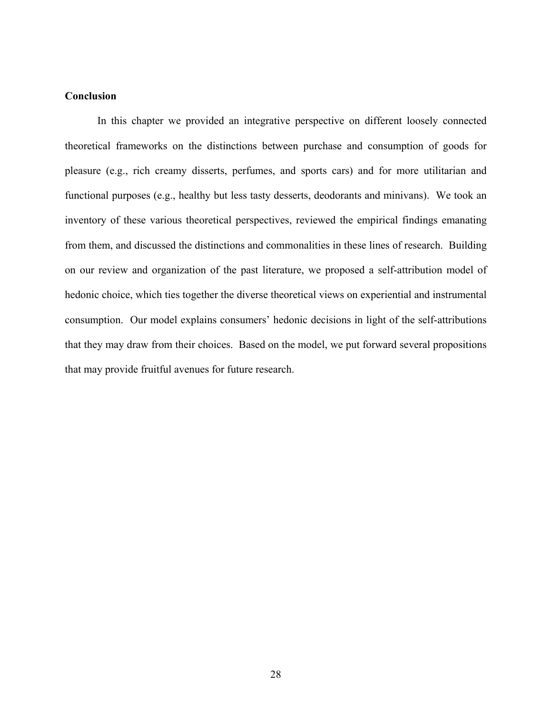# **Conclusion**

In this chapter we provided an integrative perspective on different loosely connected theoretical frameworks on the distinctions between purchase and consumption of goods for pleasure (e.g., rich creamy disserts, perfumes, and sports cars) and for more utilitarian and functional purposes (e.g., healthy but less tasty desserts, deodorants and minivans). We took an inventory of these various theoretical perspectives, reviewed the empirical findings emanating from them, and discussed the distinctions and commonalities in these lines of research. Building on our review and organization of the past literature, we proposed a self-attribution model of hedonic choice, which ties together the diverse theoretical views on experiential and instrumental consumption. Our model explains consumers' hedonic decisions in light of the self-attributions that they may draw from their choices. Based on the model, we put forward several propositions that may provide fruitful avenues for future research.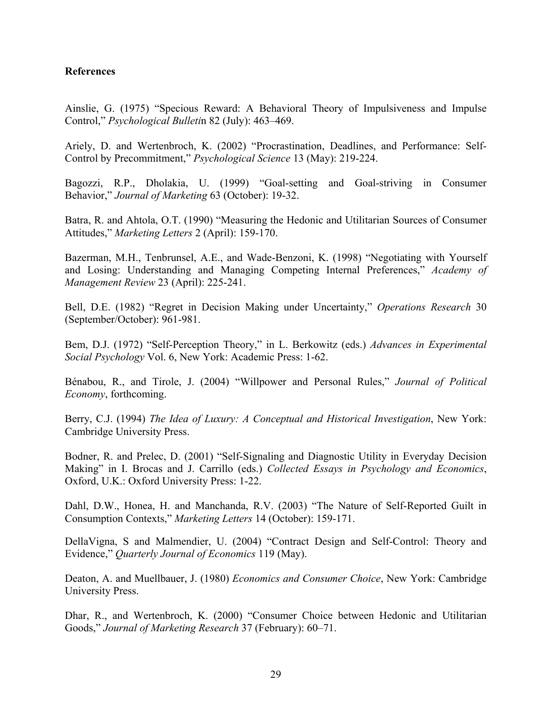# **References**

Ainslie, G. (1975) "Specious Reward: A Behavioral Theory of Impulsiveness and Impulse Control," *Psychological Bulleti*n 82 (July): 463–469.

Ariely, D. and Wertenbroch, K. (2002) "Procrastination, Deadlines, and Performance: Self-Control by Precommitment," *Psychological Science* 13 (May): 219-224.

Bagozzi, R.P., Dholakia, U. (1999) "Goal-setting and Goal-striving in Consumer Behavior," *Journal of Marketing* 63 (October): 19-32.

Batra, R. and Ahtola, O.T. (1990) "Measuring the Hedonic and Utilitarian Sources of Consumer Attitudes," *Marketing Letters* 2 (April): 159-170.

Bazerman, M.H., Tenbrunsel, A.E., and Wade-Benzoni, K. (1998) "Negotiating with Yourself and Losing: Understanding and Managing Competing Internal Preferences," *Academy of Management Review* 23 (April): 225-241.

Bell, D.E. (1982) "Regret in Decision Making under Uncertainty," *Operations Research* 30 (September/October): 961-981.

Bem, D.J. (1972) "Self-Perception Theory," in L. Berkowitz (eds.) *Advances in Experimental Social Psychology* Vol. 6, New York: Academic Press: 1-62.

Bénabou, R., and Tirole, J. (2004) "Willpower and Personal Rules," *Journal of Political Economy*, forthcoming.

Berry, C.J. (1994) *The Idea of Luxury: A Conceptual and Historical Investigation*, New York: Cambridge University Press.

Bodner, R. and Prelec, D. (2001) "Self-Signaling and Diagnostic Utility in Everyday Decision Making" in I. Brocas and J. Carrillo (eds.) *Collected Essays in Psychology and Economics*, Oxford, U.K.: Oxford University Press: 1-22.

Dahl, D.W., Honea, H. and Manchanda, R.V. (2003) "The Nature of Self-Reported Guilt in Consumption Contexts," *Marketing Letters* 14 (October): 159-171.

DellaVigna, S and Malmendier, U. (2004) "Contract Design and Self-Control: Theory and Evidence," *Quarterly Journal of Economics* 119 (May).

Deaton, A. and Muellbauer, J. (1980) *Economics and Consumer Choice*, New York: Cambridge University Press.

Dhar, R., and Wertenbroch, K. (2000) "Consumer Choice between Hedonic and Utilitarian Goods," *Journal of Marketing Research* 37 (February): 60–71.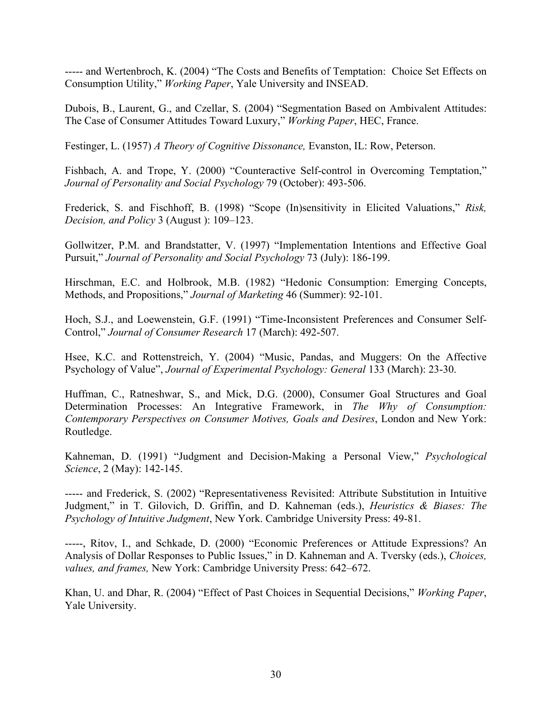----- and Wertenbroch, K. (2004) "The Costs and Benefits of Temptation: Choice Set Effects on Consumption Utility," *Working Paper*, Yale University and INSEAD.

Dubois, B., Laurent, G., and Czellar, S. (2004) "Segmentation Based on Ambivalent Attitudes: The Case of Consumer Attitudes Toward Luxury," *Working Paper*, HEC, France.

Festinger, L. (1957) *A Theory of Cognitive Dissonance,* Evanston, IL: Row, Peterson.

Fishbach, A. and Trope, Y. (2000) "Counteractive Self-control in Overcoming Temptation," *Journal of Personality and Social Psychology* 79 (October): 493-506.

Frederick, S. and Fischhoff, B. (1998) "Scope (In)sensitivity in Elicited Valuations," *Risk, Decision, and Policy* 3 (August ): 109–123.

Gollwitzer, P.M. and Brandstatter, V. (1997) "Implementation Intentions and Effective Goal Pursuit," *Journal of Personality and Social Psychology* 73 (July): 186-199.

Hirschman, E.C. and Holbrook, M.B. (1982) "Hedonic Consumption: Emerging Concepts, Methods, and Propositions," *Journal of Marketing* 46 (Summer): 92-101.

Hoch, S.J., and Loewenstein, G.F. (1991) "Time-Inconsistent Preferences and Consumer Self-Control," *Journal of Consumer Research* 17 (March): 492-507.

Hsee, K.C. and Rottenstreich, Y. (2004) "Music, Pandas, and Muggers: On the Affective Psychology of Value", *Journal of Experimental Psychology: General* 133 (March): 23-30.

Huffman, C., Ratneshwar, S., and Mick, D.G. (2000), Consumer Goal Structures and Goal Determination Processes: An Integrative Framework, in *The Why of Consumption: Contemporary Perspectives on Consumer Motives, Goals and Desires*, London and New York: Routledge.

Kahneman, D. (1991) "Judgment and Decision-Making a Personal View," *Psychological Science*, 2 (May): 142-145.

----- and Frederick, S. (2002) "Representativeness Revisited: Attribute Substitution in Intuitive Judgment," in T. Gilovich, D. Griffin, and D. Kahneman (eds.), *Heuristics & Biases: The Psychology of Intuitive Judgment*, New York. Cambridge University Press: 49-81.

-----, Ritov, I., and Schkade, D. (2000) "Economic Preferences or Attitude Expressions? An Analysis of Dollar Responses to Public Issues," in D. Kahneman and A. Tversky (eds.), *Choices, values, and frames,* New York: Cambridge University Press: 642–672.

Khan, U. and Dhar, R. (2004) "Effect of Past Choices in Sequential Decisions," *Working Paper*, Yale University.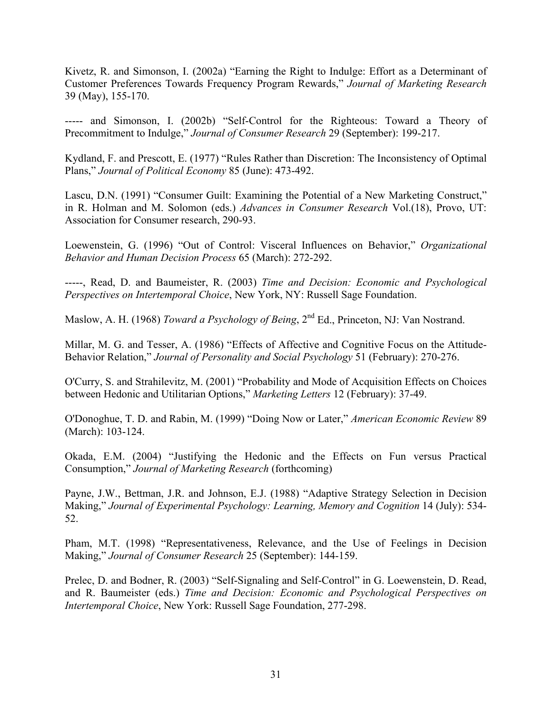Kivetz, R. and Simonson, I. (2002a) "Earning the Right to Indulge: Effort as a Determinant of Customer Preferences Towards Frequency Program Rewards," *Journal of Marketing Research* 39 (May), 155-170.

----- and Simonson, I. (2002b) "Self-Control for the Righteous: Toward a Theory of Precommitment to Indulge," *Journal of Consumer Research* 29 (September): 199-217.

Kydland, F. and Prescott, E. (1977) "Rules Rather than Discretion: The Inconsistency of Optimal Plans," *Journal of Political Economy* 85 (June): 473-492.

Lascu, D.N. (1991) "Consumer Guilt: Examining the Potential of a New Marketing Construct," in R. Holman and M. Solomon (eds.) *Advances in Consumer Research* Vol.(18), Provo, UT: Association for Consumer research, 290-93.

Loewenstein, G. (1996) "Out of Control: Visceral Influences on Behavior," *Organizational Behavior and Human Decision Process* 65 (March): 272-292.

-----, Read, D. and Baumeister, R. (2003) *Time and Decision: Economic and Psychological Perspectives on Intertemporal Choice*, New York, NY: Russell Sage Foundation.

Maslow, A. H. (1968) *Toward a Psychology of Being*, 2nd Ed., Princeton, NJ: Van Nostrand.

Millar, M. G. and Tesser, A. (1986) "Effects of Affective and Cognitive Focus on the Attitude-Behavior Relation," *Journal of Personality and Social Psychology* 51 (February): 270-276.

O'Curry, S. and Strahilevitz, M. (2001) "Probability and Mode of Acquisition Effects on Choices between Hedonic and Utilitarian Options," *Marketing Letters* 12 (February): 37-49.

O'Donoghue, T. D. and Rabin, M. (1999) "Doing Now or Later," *American Economic Review* 89 (March): 103-124.

Okada, E.M. (2004) "Justifying the Hedonic and the Effects on Fun versus Practical Consumption," *Journal of Marketing Research* (forthcoming)

Payne, J.W., Bettman, J.R. and Johnson, E.J. (1988) "Adaptive Strategy Selection in Decision Making," *Journal of Experimental Psychology: Learning, Memory and Cognition* 14 (July): 534- 52.

Pham, M.T. (1998) ["Representativeness, Relevance, and the Use of Feelings in Decision](http://www.columbia.edu/~tdp4/JCR1998.pdf)  [Making](http://www.columbia.edu/~tdp4/JCR1998.pdf)," *Journal of Consumer Research* 25 (September): 144-159.

Prelec, D. and Bodner, R. (2003) "Self-Signaling and Self-Control" in G. Loewenstein, D. Read, and R. Baumeister (eds.) *Time and Decision: Economic and Psychological Perspectives on Intertemporal Choice*, New York: Russell Sage Foundation, 277-298.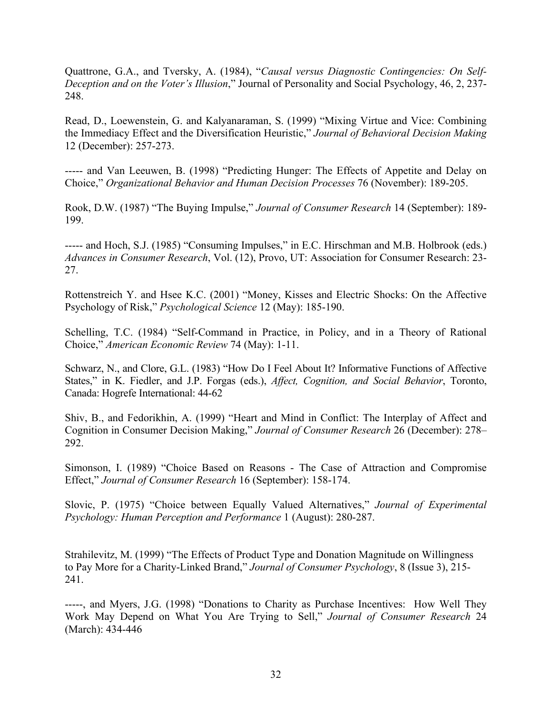Quattrone, G.A., and Tversky, A. (1984), "*Causal versus Diagnostic Contingencies: On Self-Deception and on the Voter's Illusion*," Journal of Personality and Social Psychology, 46, 2, 237- 248.

Read, D., Loewenstein, G. and Kalyanaraman, S. (1999) "Mixing Virtue and Vice: Combining the Immediacy Effect and the Diversification Heuristic," *Journal of Behavioral Decision Making*  12 (December): 257-273.

----- and Van Leeuwen, B. (1998) "Predicting Hunger: The Effects of Appetite and Delay on Choice," *Organizational Behavior and Human Decision Processes* 76 (November): 189-205.

Rook, D.W. (1987) "The Buying Impulse," *Journal of Consumer Research* 14 (September): 189- 199.

----- and Hoch, S.J. (1985) "Consuming Impulses," in E.C. Hirschman and M.B. Holbrook (eds.) *Advances in Consumer Research*, Vol. (12), Provo, UT: Association for Consumer Research: 23- 27.

Rottenstreich Y. and Hsee K.C. (2001) "Money, Kisses and Electric Shocks: On the Affective Psychology of Risk," *Psychological Science* 12 (May): 185-190.

Schelling, T.C. (1984) "Self-Command in Practice, in Policy, and in a Theory of Rational Choice," *American Economic Review* 74 (May): 1-11.

Schwarz, N., and Clore, G.L. (1983) "How Do I Feel About It? Informative Functions of Affective States," in K. Fiedler, and J.P. Forgas (eds.), *Affect, Cognition, and Social Behavior*, Toronto, Canada: Hogrefe International: 44-62

Shiv, B., and Fedorikhin, A. (1999) "Heart and Mind in Conflict: The Interplay of Affect and Cognition in Consumer Decision Making," *Journal of Consumer Research* 26 (December): 278– 292.

Simonson, I. (1989) "Choice Based on Reasons - The Case of Attraction and Compromise Effect," *Journal of Consumer Research* 16 (September): 158-174.

Slovic, P. (1975) "Choice between Equally Valued Alternatives," *Journal of Experimental Psychology: Human Perception and Performance* 1 (August): 280-287.

Strahilevitz, M. (1999) "The Effects of Product Type and Donation Magnitude on Willingness to Pay More for a Charity-Linked Brand," *Journal of Consumer Psychology*, 8 (Issue 3), 215- 241.

-----, and Myers, J.G. (1998) "Donations to Charity as Purchase Incentives: How Well They Work May Depend on What You Are Trying to Sell," *Journal of Consumer Research* 24 (March): 434-446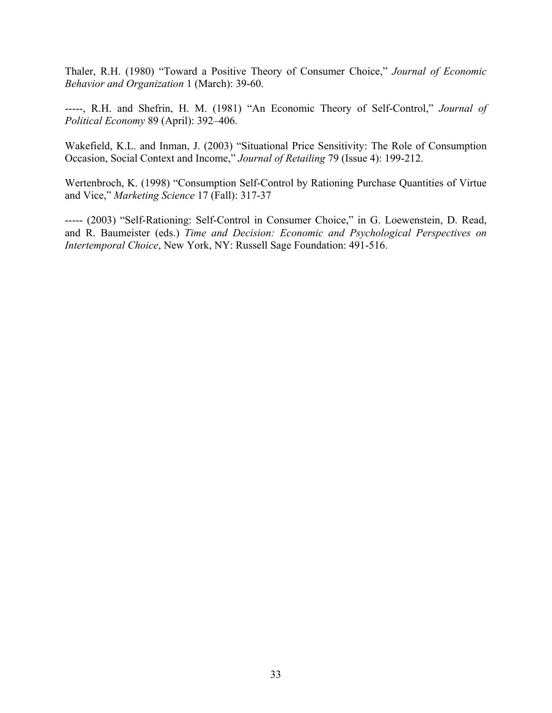Thaler, R.H. (1980) "Toward a Positive Theory of Consumer Choice," *Journal of Economic Behavior and Organization* 1 (March): 39-60.

-----, R.H. and Shefrin, H. M. (1981) "An Economic Theory of Self-Control," *Journal of Political Economy* 89 (April): 392–406.

Wakefield, K.L. and Inman, J. (2003) "Situational Price Sensitivity: The Role of Consumption Occasion, Social Context and Income," *Journal of Retailing* 79 (Issue 4): 199-212.

Wertenbroch, K. (1998) "Consumption Self-Control by Rationing Purchase Quantities of Virtue and Vice," *Marketing Science* 17 (Fall): 317-37

----- (2003) "Self-Rationing: Self-Control in Consumer Choice," in G. Loewenstein, D. Read, and R. Baumeister (eds.) *Time and Decision: Economic and Psychological Perspectives on Intertemporal Choice*, New York, NY: Russell Sage Foundation: 491-516.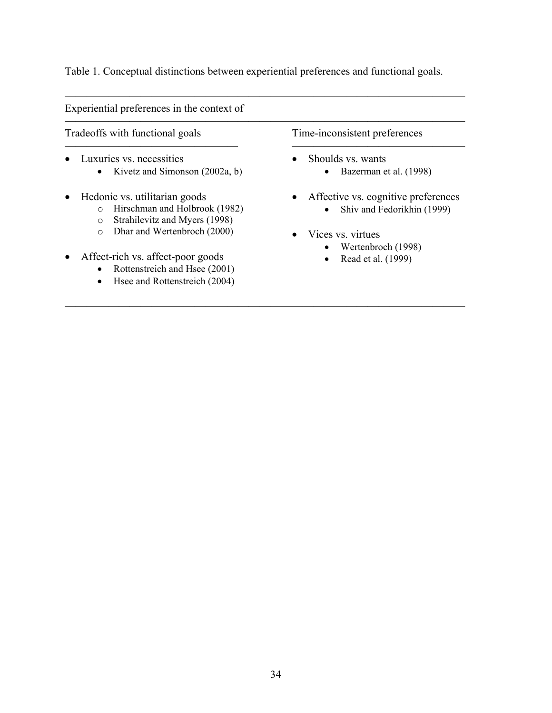Table 1. Conceptual distinctions between experiential preferences and functional goals.

————————————————————————————————————— Experiential preferences in the context of ————————————————————————————————————— Tradeoffs with functional goals ———————————————— • Luxuries vs. necessities • Kivetz and Simonson (2002a, b) • Hedonic vs. utilitarian goods o Hirschman and Holbrook (1982) o Strahilevitz and Myers (1998) o Dhar and Wertenbroch (2000) Time-inconsistent preferences ———————————————— • Shoulds vs. wants • Bazerman et al. (1998) • Affective vs. cognitive preferences • Shiv and Fedorikhin (1999) • Vices vs. virtues • Wertenbroch (1998)

—————————————————————————————————————

• Read et al.  $(1999)$ 

- Affect-rich vs. affect-poor goods
	- Rottenstreich and Hsee (2001)
	- Hsee and Rottenstreich (2004)